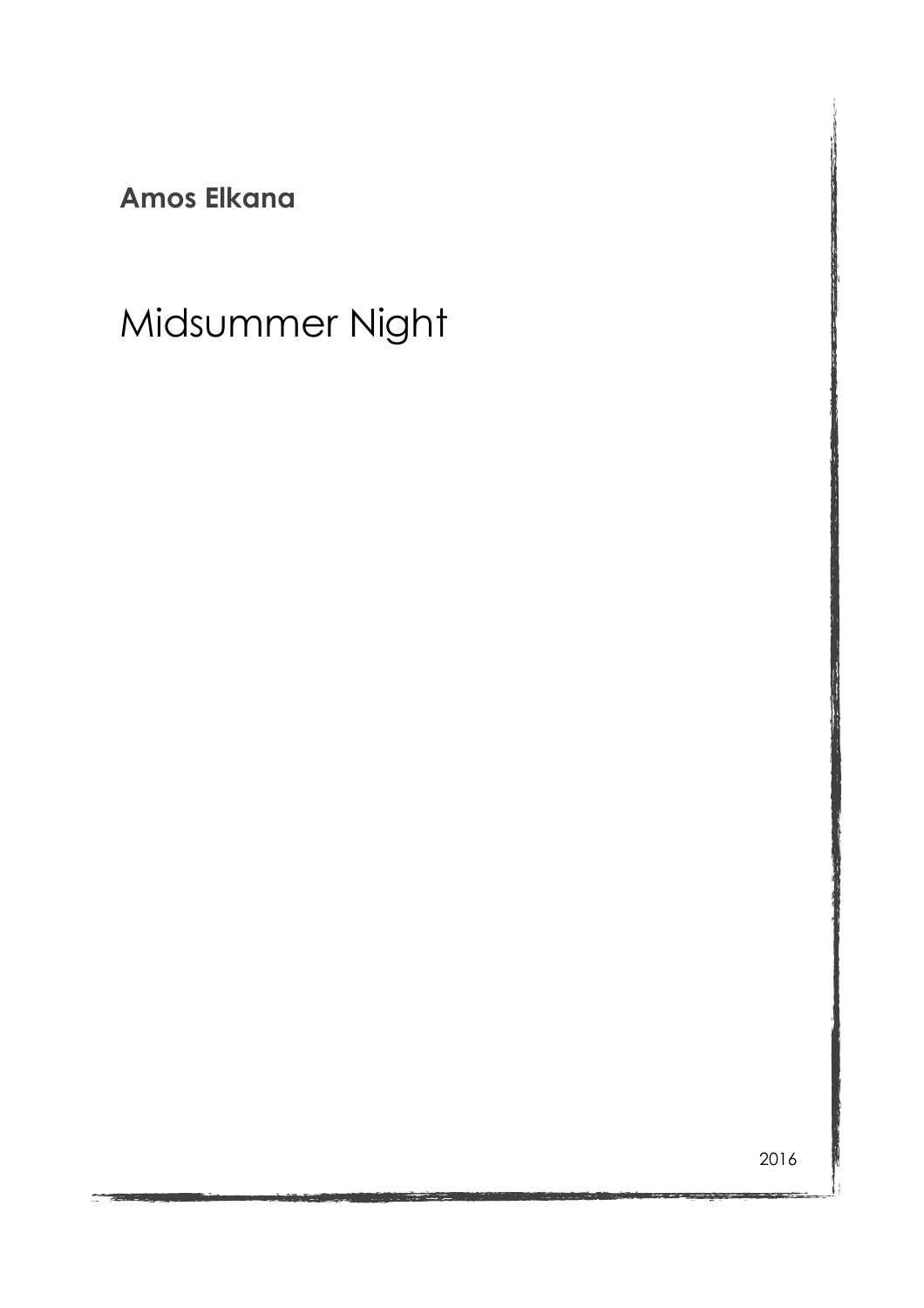**Amos Elkana**

# Midsummer Night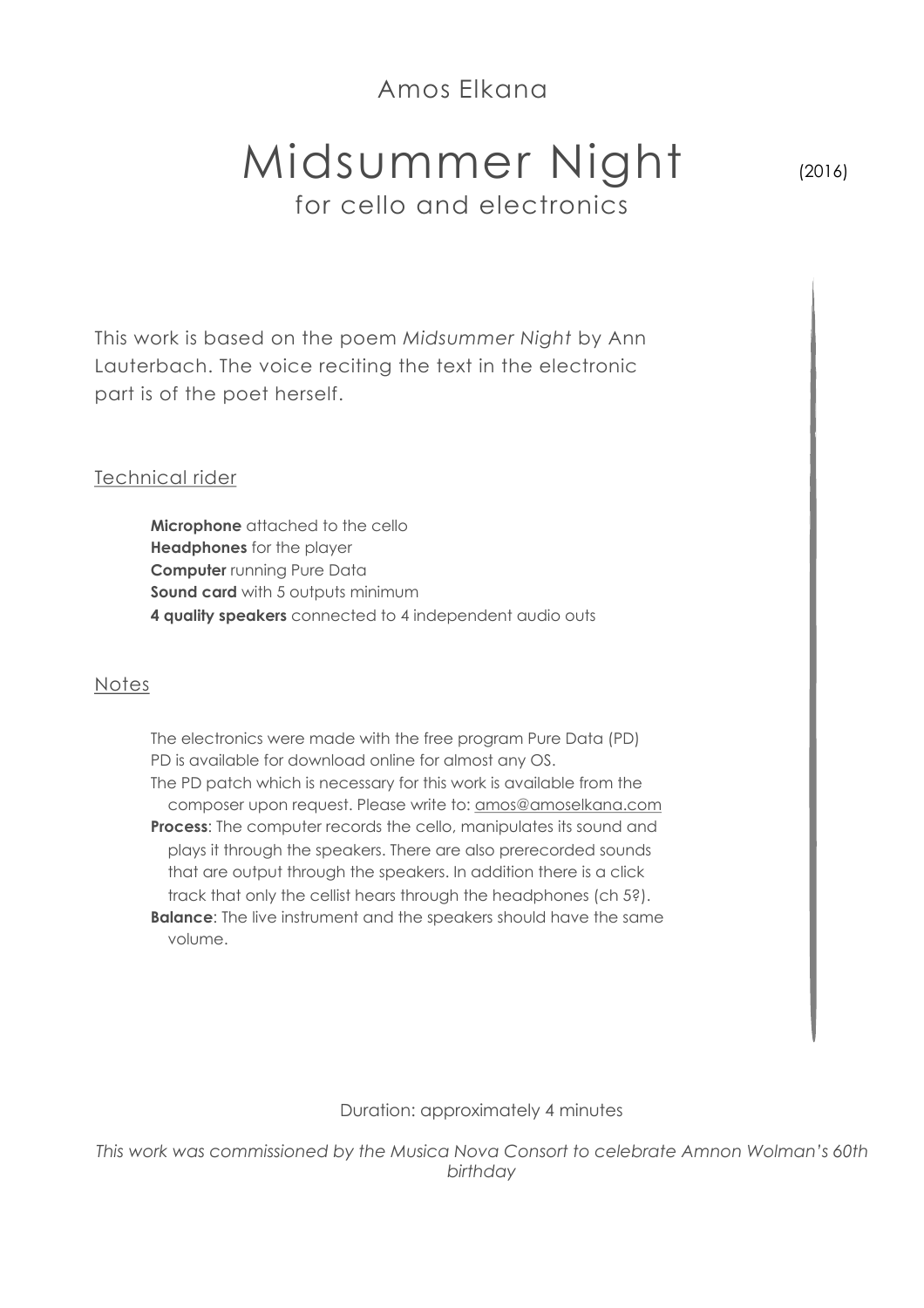### Amos Elkana

## Midsummer Night for cello and electronics

(2016)

This work is based on the poem *Midsummer Night* by Ann Lauterbach. The voice reciting the text in the electronic part is of the poet herself.

### Technical rider

**Microphone** attached to the cello **Headphones** for the player **Computer** running Pure Data **Sound card** with 5 outputs minimum **4 quality speakers** connected to 4 independent audio outs

#### Notes

 The electronics were made with the free program Pure Data (PD) PD is available for download online for almost any OS. The PD patch which is necessary for this work is available from the composer upon request. Please write to: [amos@amoselkana.com](mailto:amos@amoselkana.com) **Process:** The computer records the cello, manipulates its sound and plays it through the speakers. There are also prerecorded sounds that are output through the speakers. In addition there is a click track that only the cellist hears through the headphones (ch 5?). **Balance:** The live instrument and the speakers should have the same volume.

#### Duration: approximately 4 minutes

*This work was commissioned by the Musica Nova Consort to celebrate Amnon Wolman's 60th birthday*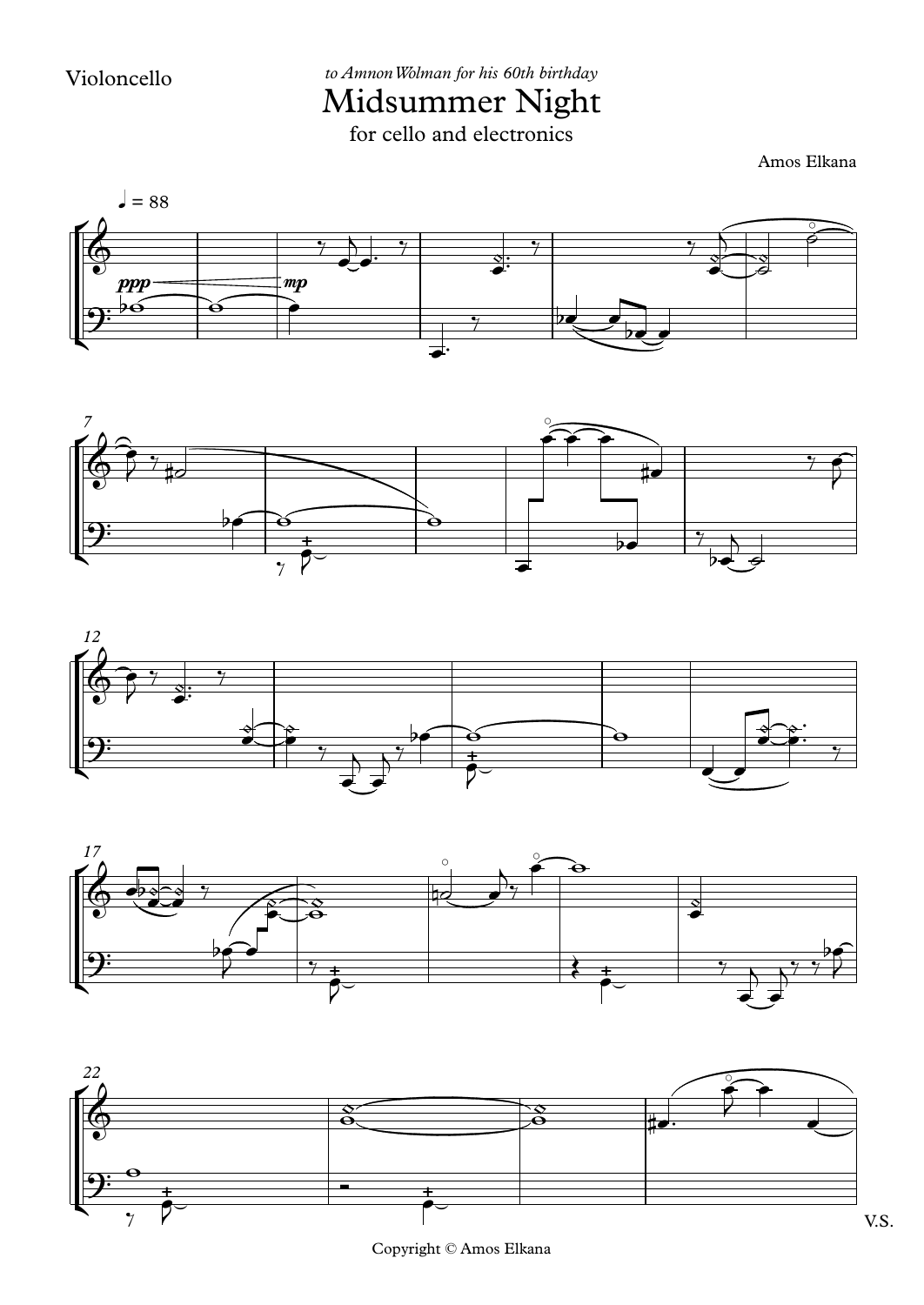IICIS UIIIIIIET INI<u>B</u>.<br>for cello and electronics Midsummer*to AmnonWolman for his 60th birthday* s 60th birthday<br>**r Night** 

Amos Elkana









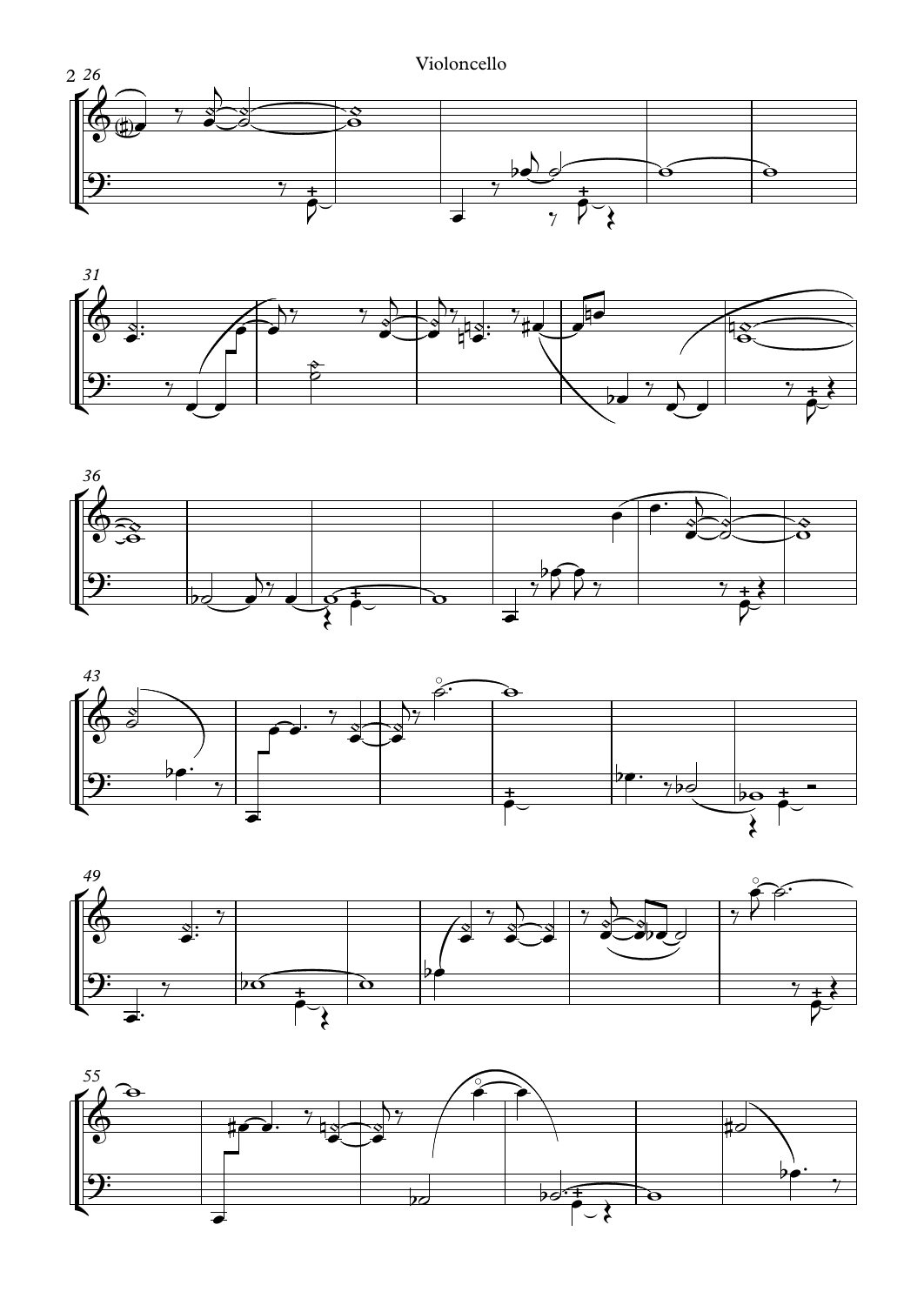